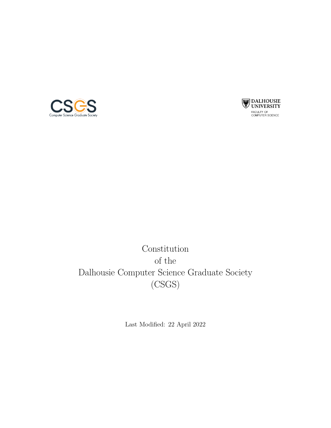



Constitution of the Dalhousie Computer Science Graduate Society (CSGS)

Last Modified: 22 April 2022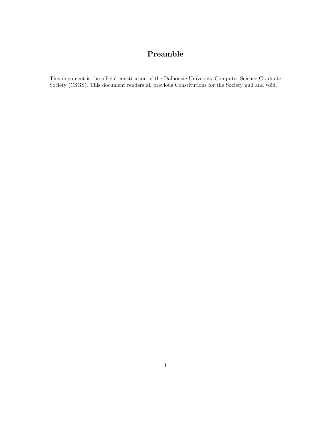## Preamble

This document is the official constitution of the Dalhousie University Computer Science Graduate Society (CSGS). This document renders all previous Constitutions for the Society null and void.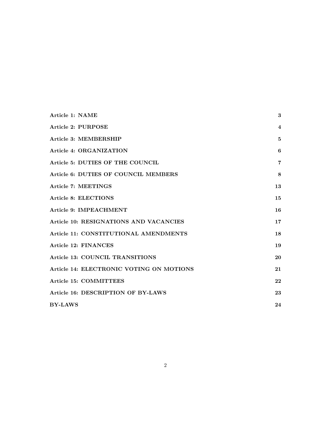| Article 1: NAME                          | $\bf{3}$ |
|------------------------------------------|----------|
| <b>Article 2: PURPOSE</b>                | 4        |
| Article 3: MEMBERSHIP                    | 5        |
| Article 4: ORGANIZATION                  | 6        |
| Article 5: DUTIES OF THE COUNCIL         | 7        |
| Article 6: DUTIES OF COUNCIL MEMBERS     | 8        |
| Article 7: MEETINGS                      | 13       |
| <b>Article 8: ELECTIONS</b>              | 15       |
| Article 9: IMPEACHMENT                   | 16       |
| Article 10: RESIGNATIONS AND VACANCIES   | 17       |
| Article 11: CONSTITUTIONAL AMENDMENTS    | 18       |
| Article 12: FINANCES                     | 19       |
| Article 13: COUNCIL TRANSITIONS          | 20       |
| Article 14: ELECTRONIC VOTING ON MOTIONS | 21       |
| <b>Article 15: COMMITTEES</b>            | 22       |
| Article 16: DESCRIPTION OF BY-LAWS       | 23       |
| <b>BY-LAWS</b>                           | 24       |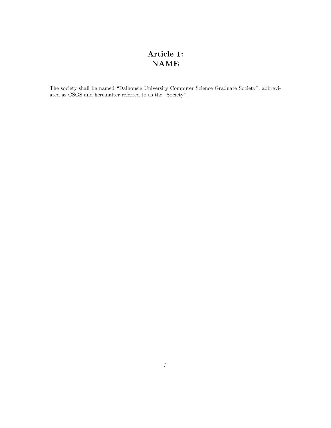# <span id="page-3-0"></span>Article 1: NAME

The society shall be named "Dalhousie University Computer Science Graduate Society", abbreviated as CSGS and hereinafter referred to as the "Society".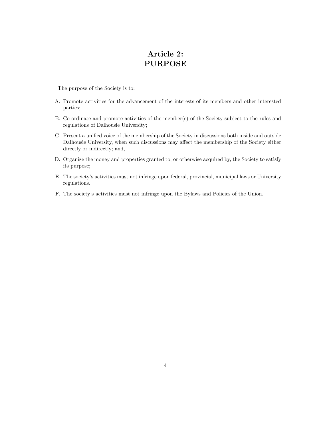## <span id="page-4-0"></span>Article 2: PURPOSE

The purpose of the Society is to:

- A. Promote activities for the advancement of the interests of its members and other interested parties;
- B. Co-ordinate and promote activities of the member(s) of the Society subject to the rules and regulations of Dalhousie University;
- C. Present a unified voice of the membership of the Society in discussions both inside and outside Dalhousie University, when such discussions may affect the membership of the Society either directly or indirectly; and,
- D. Organize the money and properties granted to, or otherwise acquired by, the Society to satisfy its purpose;
- E. The society's activities must not infringe upon federal, provincial, municipal laws or University regulations.
- F. The society's activities must not infringe upon the Bylaws and Policies of the Union.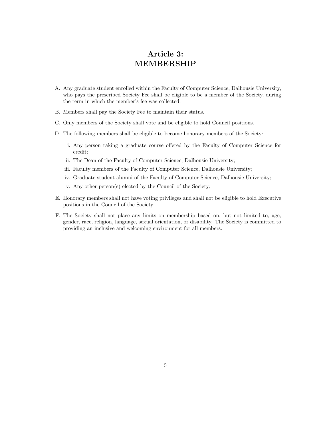#### <span id="page-5-0"></span>Article 3: MEMBERSHIP

- A. Any graduate student enrolled within the Faculty of Computer Science, Dalhousie University, who pays the prescribed Society Fee shall be eligible to be a member of the Society, during the term in which the member's fee was collected.
- B. Members shall pay the Society Fee to maintain their status.
- C. Only members of the Society shall vote and be eligible to hold Council positions.
- D. The following members shall be eligible to become honorary members of the Society:
	- i. Any person taking a graduate course offered by the Faculty of Computer Science for credit;
	- ii. The Dean of the Faculty of Computer Science, Dalhousie University;
	- iii. Faculty members of the Faculty of Computer Science, Dalhousie University;
	- iv. Graduate student alumni of the Faculty of Computer Science, Dalhousie University;
	- v. Any other person(s) elected by the Council of the Society;
- E. Honorary members shall not have voting privileges and shall not be eligible to hold Executive positions in the Council of the Society.
- F. The Society shall not place any limits on membership based on, but not limited to, age, gender, race, religion, language, sexual orientation, or disability. The Society is committed to providing an inclusive and welcoming environment for all members.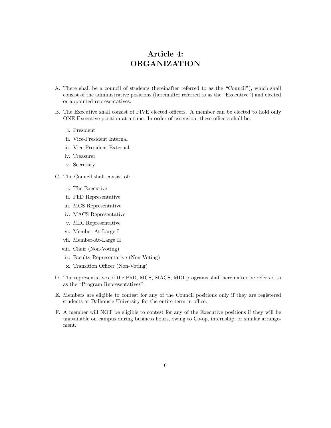## <span id="page-6-0"></span>Article 4: ORGANIZATION

- A. There shall be a council of students (hereinafter referred to as the "Council"), which shall consist of the administrative positions (hereinafter referred to as the "Executive") and elected or appointed representatives.
- B. The Executive shall consist of FIVE elected officers. A member can be elected to hold only ONE Executive position at a time. In order of ascension, these officers shall be:
	- i. President
	- ii. Vice-President Internal
	- iii. Vice-President External
	- iv. Treasurer
	- v. Secretary
- C. The Council shall consist of:
	- i. The Executive
	- ii. PhD Representative
	- iii. MCS Representative
	- iv. MACS Representative
	- v. MDI Representative
	- vi. Member-At-Large I
	- vii. Member-At-Large II
	- viii. Chair (Non-Voting)
	- ix. Faculty Representative (Non-Voting)
	- x. Transition Officer (Non-Voting)
- D. The representatives of the PhD, MCS, MACS, MDI programs shall hereinafter be referred to as the "Program Representatives".
- E. Members are eligible to contest for any of the Council positions only if they are registered students at Dalhousie University for the entire term in office.
- F. A member will NOT be eligible to contest for any of the Executive positions if they will be unavailable on campus during business hours, owing to Co-op, internship, or similar arrangement.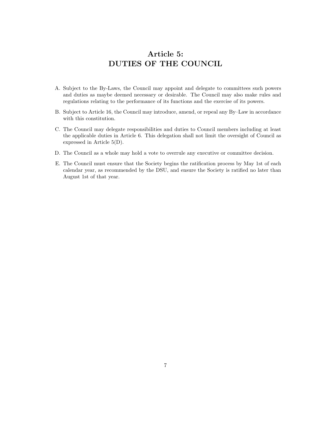## <span id="page-7-0"></span>Article 5: DUTIES OF THE COUNCIL

- A. Subject to the By-Laws, the Council may appoint and delegate to committees such powers and duties as maybe deemed necessary or desirable. The Council may also make rules and regulations relating to the performance of its functions and the exercise of its powers.
- B. Subject to Article 16, the Council may introduce, amend, or repeal any By–Law in accordance with this constitution.
- C. The Council may delegate responsibilities and duties to Council members including at least the applicable duties in Article 6. This delegation shall not limit the oversight of Council as expressed in Article 5(D).
- D. The Council as a whole may hold a vote to overrule any executive or committee decision.
- E. The Council must ensure that the Society begins the ratification process by May 1st of each calendar year, as recommended by the DSU, and ensure the Society is ratified no later than August 1st of that year.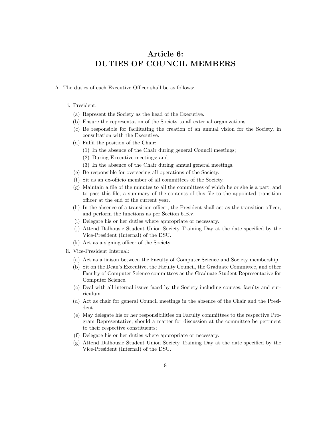#### <span id="page-8-0"></span>Article 6: DUTIES OF COUNCIL MEMBERS

- A. The duties of each Executive Officer shall be as follows:
	- i. President:
		- (a) Represent the Society as the head of the Executive.
		- (b) Ensure the representation of the Society to all external organizations.
		- (c) Be responsible for facilitating the creation of an annual vision for the Society, in consultation with the Executive.
		- (d) Fulfil the position of the Chair:
			- (1) In the absence of the Chair during general Council meetings;
			- (2) During Executive meetings; and,
			- (3) In the absence of the Chair during annual general meetings.
		- (e) Be responsible for overseeing all operations of the Society.
		- (f) Sit as an ex-officio member of all committees of the Society.
		- (g) Maintain a file of the minutes to all the committees of which he or she is a part, and to pass this file, a summary of the contents of this file to the appointed transition officer at the end of the current year.
		- (h) In the absence of a transition officer, the President shall act as the transition officer, and perform the functions as per Section 6.B.v.
		- (i) Delegate his or her duties where appropriate or necessary.
		- (j) Attend Dalhousie Student Union Society Training Day at the date specified by the Vice-President (Internal) of the DSU.
		- (k) Act as a signing officer of the Society.
	- ii. Vice-President Internal:
		- (a) Act as a liaison between the Faculty of Computer Science and Society membership.
		- (b) Sit on the Dean's Executive, the Faculty Council, the Graduate Committee, and other Faculty of Computer Science committees as the Graduate Student Representative for Computer Science.
		- (c) Deal with all internal issues faced by the Society including courses, faculty and curriculum.
		- (d) Act as chair for general Council meetings in the absence of the Chair and the President.
		- (e) May delegate his or her responsibilities on Faculty committees to the respective Program Representative, should a matter for discussion at the committee be pertinent to their respective constituents;
		- (f) Delegate his or her duties where appropriate or necessary.
		- (g) Attend Dalhousie Student Union Society Training Day at the date specified by the Vice-President (Internal) of the DSU.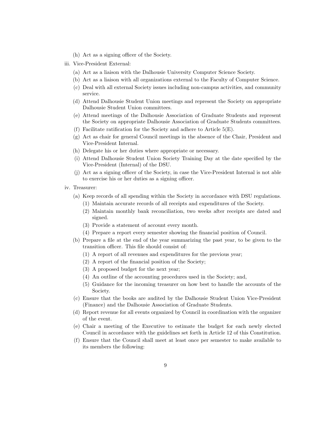- (h) Act as a signing officer of the Society.
- iii. Vice-President External:
	- (a) Act as a liaison with the Dalhousie University Computer Science Society.
	- (b) Act as a liaison with all organizations external to the Faculty of Computer Science.
	- (c) Deal with all external Society issues including non-campus activities, and community service.
	- (d) Attend Dalhousie Student Union meetings and represent the Society on appropriate Dalhousie Student Union committees.
	- (e) Attend meetings of the Dalhousie Association of Graduate Students and represent the Society on appropriate Dalhousie Association of Graduate Students committees.
	- (f) Facilitate ratification for the Society and adhere to Article 5(E).
	- (g) Act as chair for general Council meetings in the absence of the Chair, President and Vice-President Internal.
	- (h) Delegate his or her duties where appropriate or necessary.
	- (i) Attend Dalhousie Student Union Society Training Day at the date specified by the Vice-President (Internal) of the DSU.
	- (j) Act as a signing officer of the Society, in case the Vice-President Internal is not able to exercise his or her duties as a signing officer.
- iv. Treasurer:
	- (a) Keep records of all spending within the Society in accordance with DSU regulations.
		- (1) Maintain accurate records of all receipts and expenditures of the Society.
		- (2) Maintain monthly bank reconciliation, two weeks after receipts are dated and signed.
		- (3) Provide a statement of account every month.
		- (4) Prepare a report every semester showing the financial position of Council.
	- (b) Prepare a file at the end of the year summarizing the past year, to be given to the transition officer. This file should consist of:
		- (1) A report of all revenues and expenditures for the previous year;
		- (2) A report of the financial position of the Society;
		- (3) A proposed budget for the next year;
		- (4) An outline of the accounting procedures used in the Society; and,
		- (5) Guidance for the incoming treasurer on how best to handle the accounts of the Society.
	- (c) Ensure that the books are audited by the Dalhousie Student Union Vice-President (Finance) and the Dalhousie Association of Graduate Students.
	- (d) Report revenue for all events organized by Council in coordination with the organizer of the event.
	- (e) Chair a meeting of the Executive to estimate the budget for each newly elected Council in accordance with the guidelines set forth in Article 12 of this Constitution.
	- (f) Ensure that the Council shall meet at least once per semester to make available to its members the following: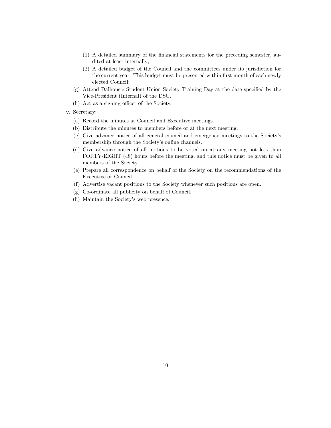- (1) A detailed summary of the financial statements for the preceding semester, audited at least internally;
- (2) A detailed budget of the Council and the committees under its jurisdiction for the current year. This budget must be presented within first month of each newly elected Council;
- (g) Attend Dalhousie Student Union Society Training Day at the date specified by the Vice-President (Internal) of the DSU.
- (h) Act as a signing officer of the Society.
- v. Secretary:
	- (a) Record the minutes at Council and Executive meetings.
	- (b) Distribute the minutes to members before or at the next meeting.
	- (c) Give advance notice of all general council and emergency meetings to the Society's membership through the Society's online channels.
	- (d) Give advance notice of all motions to be voted on at any meeting not less than FORTY-EIGHT (48) hours before the meeting, and this notice must be given to all members of the Society.
	- (e) Prepare all correspondence on behalf of the Society on the recommendations of the Executive or Council.
	- (f) Advertise vacant positions to the Society whenever such positions are open.
	- (g) Co-ordinate all publicity on behalf of Council.
	- (h) Maintain the Society's web presence.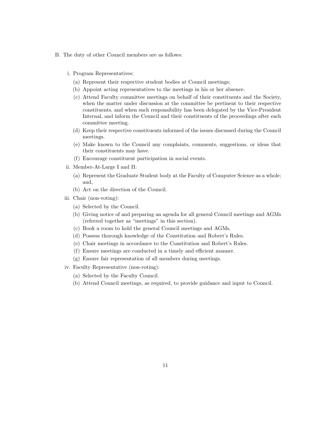- B. The duty of other Council members are as follows:
	- i. Program Representatives:
		- (a) Represent their respective student bodies at Council meetings;
		- (b) Appoint acting representatives to the meetings in his or her absence.
		- (c) Attend Faculty committee meetings on behalf of their constituents and the Society, when the matter under discussion at the committee be pertinent to their respective constituents, and when such responsibility has been delegated by the Vice-President Internal, and inform the Council and their constituents of the proceedings after each committee meeting.
		- (d) Keep their respective constituents informed of the issues discussed during the Council meetings.
		- (e) Make known to the Council any complaints, comments, suggestions, or ideas that their constituents may have.
		- (f) Encourage constituent participation in social events.
	- ii. Member-At-Large I and II:
		- (a) Represent the Graduate Student body at the Faculty of Computer Science as a whole; and,
		- (b) Act on the direction of the Council.
	- iii. Chair (non-voting):
		- (a) Selected by the Council.
		- (b) Giving notice of and preparing an agenda for all general Council meetings and AGMs (referred together as "meetings" in this section).
		- (c) Book a room to hold the general Council meetings and AGMs.
		- (d) Possess thorough knowledge of the Constitution and Robert's Rules.
		- (e) Chair meetings in accordance to the Constitution and Robert's Rules.
		- (f) Ensure meetings are conducted in a timely and efficient manner.
		- (g) Ensure fair representation of all members during meetings.
	- iv. Faculty Representative (non-voting):
		- (a) Selected by the Faculty Council.
		- (b) Attend Council meetings, as required, to provide guidance and input to Council.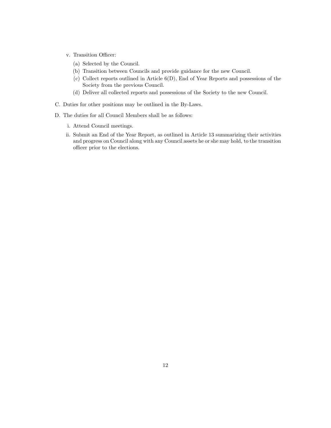- v. Transition Officer:
	- (a) Selected by the Council.
	- (b) Transition between Councils and provide guidance for the new Council.
	- (c) Collect reports outlined in Article 6(D), End of Year Reports and possessions of the Society from the previous Council.
	- (d) Deliver all collected reports and possessions of the Society to the new Council.
- C. Duties for other positions may be outlined in the By-Laws.
- D. The duties for all Council Members shall be as follows:
	- i. Attend Council meetings.
	- ii. Submit an End of the Year Report, as outlined in Article 13 summarizing their activities and progress on Council along with any Council assets he or she may hold, to the transition officer prior to the elections.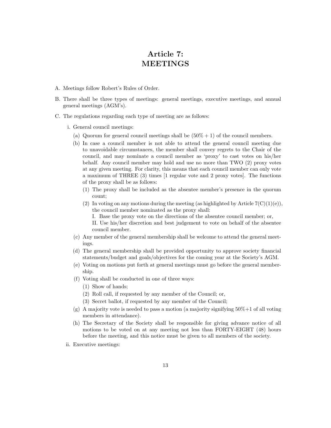#### <span id="page-13-0"></span>Article 7: MEETINGS

- A. Meetings follow Robert's Rules of Order.
- B. There shall be three types of meetings: general meetings, executive meetings, and annual general meetings (AGM's).
- C. The regulations regarding each type of meeting are as follows:
	- i. General council meetings:
		- (a) Quorum for general council meetings shall be  $(50\% + 1)$  of the council members.
		- (b) In case a council member is not able to attend the general council meeting due to unavoidable circumstances, the member shall convey regrets to the Chair of the council, and may nominate a council member as 'proxy' to cast votes on his/her behalf. Any council member may hold and use no more than TWO (2) proxy votes at any given meeting. For clarity, this means that each council member can only vote a maximum of THREE (3) times [1 regular vote and 2 proxy votes]. The functions of the proxy shall be as follows:
			- (1) The proxy shall be included as the absentee member's presence in the quorum count;
			- (2) In voting on any motions during the meeting (as highlighted by Article  $7(C)(1)(e)$ ), the council member nominated as the proxy shall:
				- I. Base the proxy vote on the directions of the absentee council member; or,

II. Use his/her discretion and best judgement to vote on behalf of the absentee council member.

- (c) Any member of the general membership shall be welcome to attend the general meetings.
- (d) The general membership shall be provided opportunity to approve society financial statements/budget and goals/objectives for the coming year at the Society's AGM.
- (e) Voting on motions put forth at general meetings must go before the general membership.
- (f) Voting shall be conducted in one of three ways:
	- (1) Show of hands;
	- (2) Roll call, if requested by any member of the Council; or,
	- (3) Secret ballot, if requested by any member of the Council;
- $(g)$  A majority vote is needed to pass a motion (a majority signifying  $50\% + 1$  of all voting members in attendance).
- (h) The Secretary of the Society shall be responsible for giving advance notice of all motions to be voted on at any meeting not less than FORTY-EIGHT (48) hours before the meeting, and this notice must be given to all members of the society.
- ii. Executive meetings: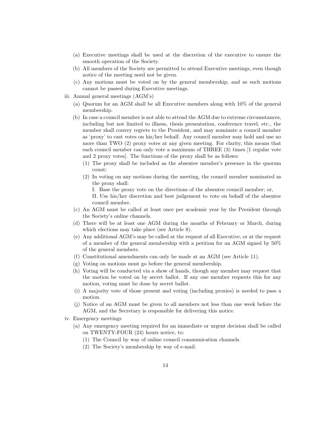- (a) Executive meetings shall be used at the discretion of the executive to ensure the smooth operation of the Society.
- (b) All members of the Society are permitted to attend Executive meetings, even though notice of the meeting need not be given.
- (c) Any motions must be voted on by the general membership, and as such motions cannot be passed during Executive meetings.
- iii. Annual general meetings (AGM's)
	- (a) Quorum for an AGM shall be all Executive members along with 10% of the general membership.
	- (b) In case a council member is not able to attend the AGM due to extreme circumstances, including but not limited to illness, thesis presentation, conference travel, etc., the member shall convey regrets to the President, and may nominate a council member as 'proxy' to cast votes on his/her behalf. Any council member may hold and use no more than TWO (2) proxy votes at any given meeting. For clarity, this means that each council member can only vote a maximum of THREE (3) times [1 regular vote and 2 proxy votes]. The functions of the proxy shall be as follows:
		- (1) The proxy shall be included as the absentee member's presence in the quorum count;
		- (2) In voting on any motions during the meeting, the council member nominated as the proxy shall:
			- I. Base the proxy vote on the directions of the absentee council member; or,

II. Use his/her discretion and best judgement to vote on behalf of the absentee council member.

- (c) An AGM must be called at least once per academic year by the President through the Society's online channels.
- (d) There will be at least one AGM during the months of February or March, during which elections may take place (see Article 8).
- (e) Any additional AGM's may be called at the request of all Executive, or at the request of a member of the general membership with a petition for an AGM signed by 50% of the general members.
- (f) Constitutional amendments can only be made at an AGM (see Article 11).
- (g) Voting on motions must go before the general membership.
- (h) Voting will be conducted via a show of hands, though any member may request that the motion be voted on by secret ballot. If any one member requests this for any motion, voting must be done by secret ballot.
- (i) A majority vote of those present and voting (including proxies) is needed to pass a motion.
- (j) Notice of an AGM must be given to all members not less than one week before the AGM, and the Secretary is responsible for delivering this notice.
- iv. Emergency meetings
	- (a) Any emergency meeting required for an immediate or urgent decision shall be called on TWENTY-FOUR (24) hours notice, to:
		- (1) The Council by way of online council communication channels.
		- (2) The Society's membership by way of e-mail.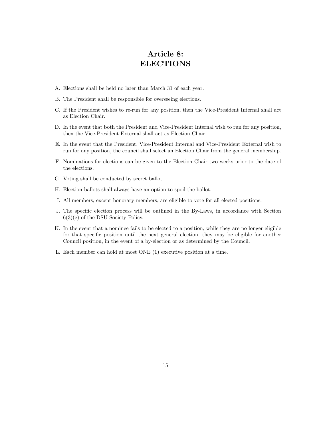#### <span id="page-15-0"></span>Article 8: ELECTIONS

- A. Elections shall be held no later than March 31 of each year.
- B. The President shall be responsible for overseeing elections.
- C. If the President wishes to re-run for any position, then the Vice-President Internal shall act as Election Chair.
- D. In the event that both the President and Vice-President Internal wish to run for any position, then the Vice-President External shall act as Election Chair.
- E. In the event that the President, Vice-President Internal and Vice-President External wish to run for any position, the council shall select an Election Chair from the general membership.
- F. Nominations for elections can be given to the Election Chair two weeks prior to the date of the elections.
- G. Voting shall be conducted by secret ballot.
- H. Election ballots shall always have an option to spoil the ballot.
- I. All members, except honorary members, are eligible to vote for all elected positions.
- J. The specific election process will be outlined in the By-Laws, in accordance with Section 6(3)(e) of the DSU Society Policy.
- K. In the event that a nominee fails to be elected to a position, while they are no longer eligible for that specific position until the next general election, they may be eligible for another Council position, in the event of a by-election or as determined by the Council.
- L. Each member can hold at most ONE (1) executive position at a time.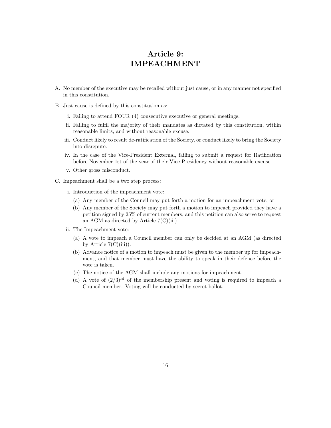#### <span id="page-16-0"></span>Article 9: IMPEACHMENT

- A. No member of the executive may be recalled without just cause, or in any manner not specified in this constitution.
- B. Just cause is defined by this constitution as:
	- i. Failing to attend FOUR (4) consecutive executive or general meetings.
	- ii. Failing to fulfil the majority of their mandates as dictated by this constitution, within reasonable limits, and without reasonable excuse.
	- iii. Conduct likely to result de-ratification of the Society, or conduct likely to bring the Society into disrepute.
	- iv. In the case of the Vice-President External, failing to submit a request for Ratification before November 1st of the year of their Vice-Presidency without reasonable excuse.
	- v. Other gross misconduct.
- C. Impeachment shall be a two step process:
	- i. Introduction of the impeachment vote:
		- (a) Any member of the Council may put forth a motion for an impeachment vote; or,
		- (b) Any member of the Society may put forth a motion to impeach provided they have a petition signed by 25% of current members, and this petition can also serve to request an AGM as directed by Article  $7(C)(iii)$ .
	- ii. The Impeachment vote:
		- (a) A vote to impeach a Council member can only be decided at an AGM (as directed by Article  $7(C)(iii)$ .
		- (b) Advance notice of a motion to impeach must be given to the member up for impeachment, and that member must have the ability to speak in their defence before the vote is taken.
		- (c) The notice of the AGM shall include any motions for impeachment.
		- (d) A vote of  $(2/3)^{rd}$  of the membership present and voting is required to impeach a Council member. Voting will be conducted by secret ballot.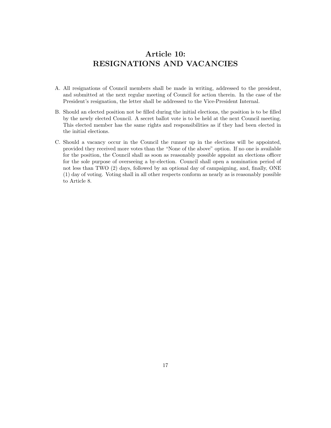## <span id="page-17-0"></span>Article 10: RESIGNATIONS AND VACANCIES

- A. All resignations of Council members shall be made in writing, addressed to the president, and submitted at the next regular meeting of Council for action therein. In the case of the President's resignation, the letter shall be addressed to the Vice-President Internal.
- B. Should an elected position not be filled during the initial elections, the position is to be filled by the newly elected Council. A secret ballot vote is to be held at the next Council meeting. This elected member has the same rights and responsibilities as if they had been elected in the initial elections.
- C. Should a vacancy occur in the Council the runner up in the elections will be appointed, provided they received more votes than the "None of the above" option. If no one is available for the position, the Council shall as soon as reasonably possible appoint an elections officer for the sole purpose of overseeing a by-election. Council shall open a nomination period of not less than TWO (2) days, followed by an optional day of campaigning, and, finally, ONE (1) day of voting. Voting shall in all other respects conform as nearly as is reasonably possible to Article 8.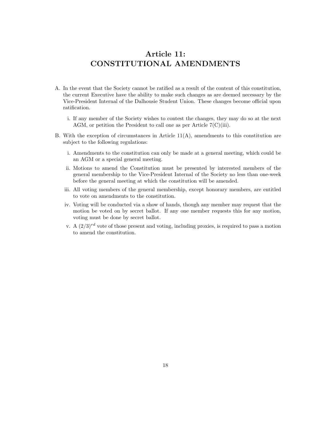## <span id="page-18-0"></span>Article 11: CONSTITUTIONAL AMENDMENTS

- A. In the event that the Society cannot be ratified as a result of the content of this constitution, the current Executive have the ability to make such changes as are deemed necessary by the Vice-President Internal of the Dalhousie Student Union. These changes become official upon ratification.
	- i. If any member of the Society wishes to contest the changes, they may do so at the next AGM, or petition the President to call one as per Article  $7(C)(iii)$ .
- B. With the exception of circumstances in Article  $11(A)$ , amendments to this constitution are subject to the following regulations:
	- i. Amendments to the constitution can only be made at a general meeting, which could be an AGM or a special general meeting.
	- ii. Motions to amend the Constitution must be presented by interested members of the general membership to the Vice-President Internal of the Society no less than one-week before the general meeting at which the constitution will be amended.
	- iii. All voting members of the general membership, except honorary members, are entitled to vote on amendments to the constitution.
	- iv. Voting will be conducted via a show of hands, though any member may request that the motion be voted on by secret ballot. If any one member requests this for any motion, voting must be done by secret ballot.
	- v. A  $(2/3)^{rd}$  vote of those present and voting, including proxies, is required to pass a motion to amend the constitution.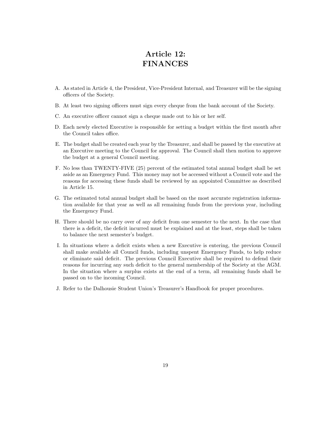## <span id="page-19-0"></span>Article 12: FINANCES

- A. As stated in Article 4, the President, Vice-President Internal, and Treasurer will be the signing officers of the Society.
- B. At least two signing officers must sign every cheque from the bank account of the Society.
- C. An executive officer cannot sign a cheque made out to his or her self.
- D. Each newly elected Executive is responsible for setting a budget within the first month after the Council takes office.
- E. The budget shall be created each year by the Treasurer, and shall be passed by the executive at an Executive meeting to the Council for approval. The Council shall then motion to approve the budget at a general Council meeting.
- F. No less than TWENTY-FIVE (25) percent of the estimated total annual budget shall be set aside as an Emergency Fund. This money may not be accessed without a Council vote and the reasons for accessing these funds shall be reviewed by an appointed Committee as described in Article 15.
- G. The estimated total annual budget shall be based on the most accurate registration information available for that year as well as all remaining funds from the previous year, including the Emergency Fund.
- H. There should be no carry over of any deficit from one semester to the next. In the case that there is a deficit, the deficit incurred must be explained and at the least, steps shall be taken to balance the next semester's budget.
- I. In situations where a deficit exists when a new Executive is entering, the previous Council shall make available all Council funds, including unspent Emergency Funds, to help reduce or eliminate said deficit. The previous Council Executive shall be required to defend their reasons for incurring any such deficit to the general membership of the Society at the AGM. In the situation where a surplus exists at the end of a term, all remaining funds shall be passed on to the incoming Council.
- J. Refer to the Dalhousie Student Union's Treasurer's Handbook for proper procedures.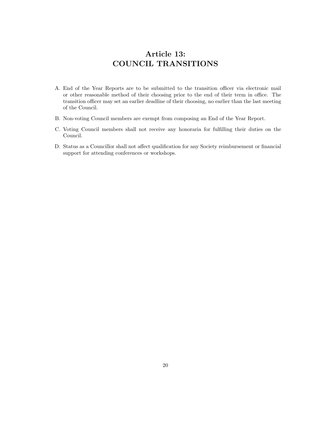## <span id="page-20-0"></span>Article 13: COUNCIL TRANSITIONS

- A. End of the Year Reports are to be submitted to the transition officer via electronic mail or other reasonable method of their choosing prior to the end of their term in office. The transition officer may set an earlier deadline of their choosing, no earlier than the last meeting of the Council.
- B. Non-voting Council members are exempt from composing an End of the Year Report.
- C. Voting Council members shall not receive any honoraria for fulfilling their duties on the Council.
- D. Status as a Councillor shall not affect qualification for any Society reimbursement or financial support for attending conferences or workshops.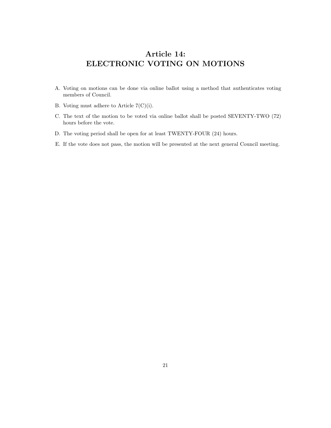## <span id="page-21-0"></span>Article 14: ELECTRONIC VOTING ON MOTIONS

- A. Voting on motions can be done via online ballot using a method that authenticates voting members of Council.
- B. Voting must adhere to Article 7(C)(i).
- C. The text of the motion to be voted via online ballot shall be posted SEVENTY-TWO (72) hours before the vote.
- D. The voting period shall be open for at least TWENTY-FOUR (24) hours.
- E. If the vote does not pass, the motion will be presented at the next general Council meeting.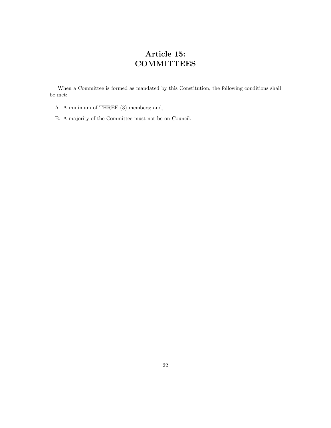# <span id="page-22-0"></span>Article 15: **COMMITTEES**

When a Committee is formed as mandated by this Constitution, the following conditions shall be met:

- A. A minimum of THREE (3) members; and,
- B. A majority of the Committee must not be on Council.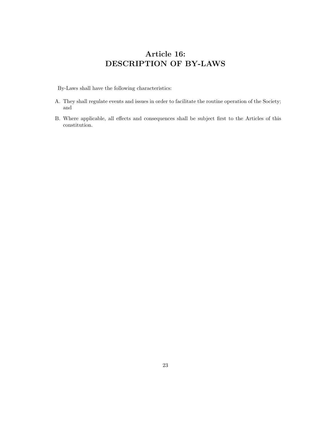# <span id="page-23-0"></span>Article 16: DESCRIPTION OF BY-LAWS

By-Laws shall have the following characteristics:

- A. They shall regulate events and issues in order to facilitate the routine operation of the Society; and
- B. Where applicable, all effects and consequences shall be subject first to the Articles of this constitution.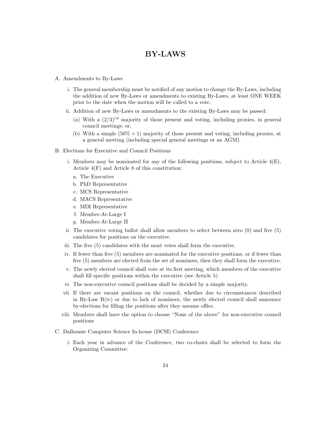#### <span id="page-24-0"></span>BY-LAWS

- A. Amendments to By-Laws
	- i. The general membership must be notified of any motion to change the By-Laws, including the addition of new By-Laws or amendments to existing By-Laws, at least ONE WEEK prior to the date when the motion will be called to a vote.
	- ii. Addition of new By-Laws or amendments to the existing By-Laws may be passed:
		- (a) With a  $(2/3)^{rd}$  majority of those present and voting, including proxies, in general council meetings; or,
		- (b) With a simple  $(50\% + 1)$  majority of those present and voting, including proxies, at a general meeting (including special general meetings or an AGM).
- B. Elections for Executive and Council Positions
	- i. Members may be nominated for any of the following positions, subject to Article  $4(E)$ , Article 4(F) and Article 8 of this constitution:
		- a. The Executive
		- b. PhD Representative
		- c. MCS Representative
		- d. MACS Representative
		- e. MDI Representative
		- f. Member-At-Large I
		- g. Member-At-Large II
	- ii. The executive voting ballot shall allow members to select between zero (0) and five (5) candidates for positions on the executive.
	- iii. The five (5) candidates with the most votes shall form the executive.
	- iv. If fewer than five (5) members are nominated for the executive positions, or if fewer than five (5) members are elected from the set of nominees, then they shall form the executive.
	- v. The newly elected council shall vote at its first meeting, which members of the executive shall fill specific positions within the executive (see Article 5).
	- vi. The non-executive council positions shall be decided by a simple majority.
	- vii. If there are vacant positions on the council, whether due to circumstances described in By-Law B(iv) or due to lack of nominees, the newly elected council shall announce by-elections for filling the positions after they assume office.
	- viii. Members shall have the option to choose "None of the above" for non-executive council positions
- C. Dalhousie Computer Science In-house (DCSI) Conference
	- i. Each year in advance of the Conference, two co-chairs shall be selected to form the Organizing Committee: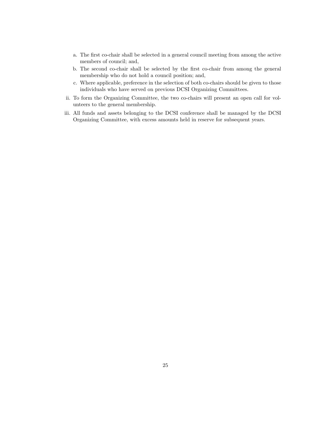- a. The first co-chair shall be selected in a general council meeting from among the active members of council; and,
- b. The second co-chair shall be selected by the first co-chair from among the general membership who do not hold a council position; and,
- c. Where applicable, preference in the selection of both co-chairs should be given to those individuals who have served on previous DCSI Organizing Committees.
- ii. To form the Organizing Committee, the two co-chairs will present an open call for volunteers to the general membership.
- iii. All funds and assets belonging to the DCSI conference shall be managed by the DCSI Organizing Committee, with excess amounts held in reserve for subsequent years.